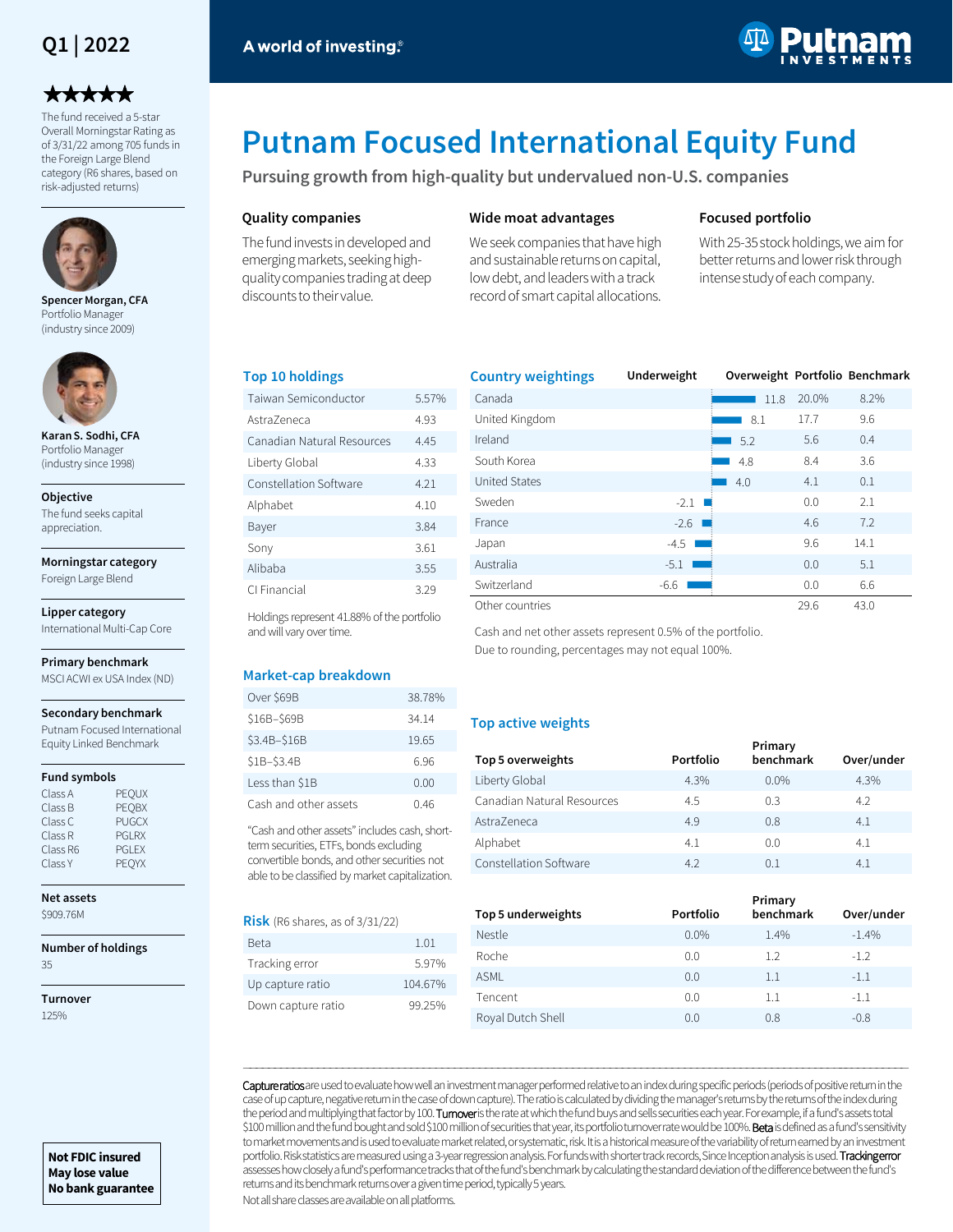## **Q1 | 2022**

# \*\*\*\*\*

The fund received a 5-star Overall Morningstar Rating as of 3/31/22 among 705 funds in the Foreign Large Blend category (R6 shares, based on risk-adjusted returns)



**Spencer Morgan, CFA**  Portfolio Manager (industry since 2009)



Portfolio Manager (industry since 1998)

The fund seeks capital appreciation.

**Morningstar category**

International Multi-Cap Core

#### **Primary benchmark**

#### **Fund symbols**

| Class A  | <b>PEOUX</b>  |
|----------|---------------|
| Class B  | <b>PEOBX</b>  |
| Class C  | <b>PUGCX</b>  |
| Class R  | <b>PGI RX</b> |
| Class R6 | <b>PGI FX</b> |
| Class Y  | PEOYX         |

**Net assets**

**SQ09.76M** 

## **Number of holdings**

**Not FDIC insured May lose value No bank guarantee**

35

**Turnover** 125%



**Karan S. Sodhi, CFA** 

#### **Objective**

Foreign Large Blend

## **Lipper category**

MSCI ACWI ex USA Index (ND)

#### **Secondary benchmark**

Putnam Focused International Equity Linked Benchmark

| . LV V / 1<br>PEOBX                                            | Cash and other assets                                                                                                                                                                     | 0.46 |
|----------------------------------------------------------------|-------------------------------------------------------------------------------------------------------------------------------------------------------------------------------------------|------|
| <b>PUGCX</b><br><b>PGI RX</b><br><b>PGI FX</b><br><b>PEOYX</b> | "Cash and other assets" includes cash, short-<br>term securities, ETFs, bonds excluding<br>convertible bonds, and other securities not<br>able to be classified by market capitalization. |      |

**Risk** (R6 shares, as of 3/31/22)

| 1.01    |
|---------|
|         |
| 597%    |
| 104.67% |
| 99 25%  |
|         |

| <b>Country weightings</b> | Underweight |      |       | Overweight Portfolio Benchmark |
|---------------------------|-------------|------|-------|--------------------------------|
| Canada                    |             | 11.8 | 20.0% | 8.2%                           |
| United Kingdom            |             | 8.1  | 17.7  | 9.6                            |
| Ireland                   |             | 5.2  | 5.6   | 0.4                            |
| South Korea               |             | 4.8  | 8.4   | 3.6                            |
| <b>United States</b>      |             | 4.0  | 4.1   | 0.1                            |
| Sweden                    | $-2.1$      |      | 0.0   | 2.1                            |
| France                    | $-2.6$ I    |      | 4.6   | 7.2                            |
| Japan                     | $-4.5$      |      | 9.6   | 14.1                           |
| Australia                 | $-5.1$      |      | 0.0   | 5.1                            |
| Switzerland               | -6.6        |      | 0.0   | 6.6                            |
| Other countries           |             |      | 29.6  | 43.0                           |

Cash and net other assets represent 0.5% of the portfolio. Due to rounding, percentages may not equal 100%.

#### **Top active weights**

| Top 5 overweights          | Portfolio | Primary<br>benchmark | Over/under |
|----------------------------|-----------|----------------------|------------|
| Liberty Global             | 4.3%      | $0.0\%$              | 4.3%       |
| Canadian Natural Resources | 4.5       | 0.3                  | 4.2        |
| AstraZeneca                | 4.9       | 0.8                  | 4.1        |
| Alphabet                   | 4.1       | 0.0                  | 4.1        |
| Constellation Software     | 4.2       | 0.1                  | 4.1        |

| Top 5 underweights | Portfolio | Primary<br>benchmark | Over/under |
|--------------------|-----------|----------------------|------------|
| Nestle             | $0.0\%$   | 1.4%                 | $-1.4%$    |
| Roche              | 0.0       | 1.2                  | $-1.2$     |
| <b>ASMI</b>        | 0.0       | 1.1                  | $-1.1$     |
| Tencent            | 0.0       | 1.1                  | $-1.1$     |
| Royal Dutch Shell  | 0.0       | 0.8                  | $-0.8$     |

Capture ratios are used to evaluate how well an investment manager performed relative to an index during specific periods (periods of positive return in the case of up capture, negative return in the case of down capture). The ratio is calculated by dividing the manager's returns by the returns of the index during the period and multiplying that factor by 100. Turnover is the rate at which the fund buys and sells securities each year. For example, if a fund's assets total \$100 million and the fund bought and sold \$100 million of securities that year, its portfolio turnover rate would be 100%. Beta is defined as a fund's sensitivity to market movements and is used to evaluate market related, or systematic, risk. It is a historical measure of the variability of return earned by an investment portfolio. Risk statistics are measured using a 3-year regression analysis. For funds with shorter track records, Since Inception analysis is used. Tracking error assesses how closely a fund's performance tracks that of the fund's benchmark by calculating the standard deviation of the difference between the fund's returns and its benchmark returns over a given time period, typically 5 years.

―――――――――――――――――――――――――――――――――――――――――――――――――――――――――――――――――――――――――――――――――――――――――――――――――――――――――――

Not all share classes are available on all platforms.

# **Putnam Focused International Equity Fund**

**Pursuing growth from high-quality but undervalued non-U.S. companies**

#### **Quality companies**

A world of investing.<sup>®</sup>

**Top 10 holdings**

and will vary over time.

**Market-cap breakdown**

Over \$69B 38.78% \$16B–\$69B 34.14 \$3.4B–\$16B 19.65 \$1B–\$3.4B 6.96 Less than \$1B 0.00

The fund invests in developed and emerging markets, seeking highquality companies trading at deep discounts to their value.

Taiwan Semiconductor 5.57% AstraZeneca 4.93 Canadian Natural Resources 4.45 Liberty Global 4.33 Constellation Software 4.21 Alphabet 4.10 Bayer 3.84 Sony 3.61 Alibaba 3.55 CI Financial 3.29 Holdings represent 41.88% of the portfolio

#### **Wide moat advantages**

We seek companies that have high and sustainable returns on capital, low debt, and leaders with a track record of smart capital allocations.

#### **Focused portfolio**

With 25-35 stock holdings, we aim for better returns and lower risk through intense study of each company.